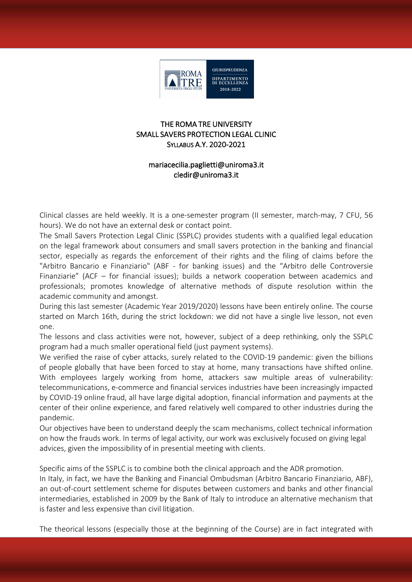

### THE ROMA TRE UNIVERSITY SMALL SAVERS PROTECTION LEGAL CLINIC SYLLABUS A.Y. 2020-2021

## mariacecilia.paglietti@uniroma3.it cledir@uniroma3.it

Clinical classes are held weekly. It is a one-semester program (II semester, march-may, 7 CFU, 56 hours). We do not have an external desk or contact point.

The Small Savers Protection Legal Clinic (SSPLC) provides students with a qualified legal education on the legal framework about consumers and small savers protection in the banking and financial sector, especially as regards the enforcement of their rights and the filing of claims before the "Arbitro Bancario e Finanziario" (ABF - for banking issues) and the "Arbitro delle Controversie Finanziarie" (ACF – for financial issues); builds a network cooperation between academics and professionals; promotes knowledge of alternative methods of dispute resolution within the academic community and amongst.

During this last semester (Academic Year 2019/2020) lessons have been entirely online. The course started on March 16th, during the strict lockdown: we did not have a single live lesson, not even one.

The lessons and class activities were not, however, subject of a deep rethinking, only the SSPLC program had a much smaller operational field (just payment systems).

We verified the raise of cyber attacks, surely related to the COVID-19 pandemic: given the billions of people globally that have been forced to stay at home, many transactions have shifted online. With employees largely working from home, attackers saw multiple areas of vulnerability: telecommunications, e-commerce and financial services industries have been increasingly impacted by COVID-19 online fraud, all have large digital adoption, financial information and payments at the center of their online experience, and fared relatively well compared to other industries during the pandemic.

Our objectives have been to understand deeply the scam mechanisms, collect technical information on how the frauds work. In terms of legal activity, our work was exclusively focused on giving legal advices, given the impossibility of in presential meeting with clients.

Specific aims of the SSPLC is to combine both the clinical approach and the ADR promotion.

In Italy, in fact, we have the Banking and Financial Ombudsman (Arbitro Bancario Finanziario, ABF), an out-of-court settlement scheme for disputes between customers and banks and other financial intermediaries, established in 2009 by the Bank of Italy to introduce an alternative mechanism that is faster and less expensive than civil litigation.

The theorical lessons (especially those at the beginning of the Course) are in fact integrated with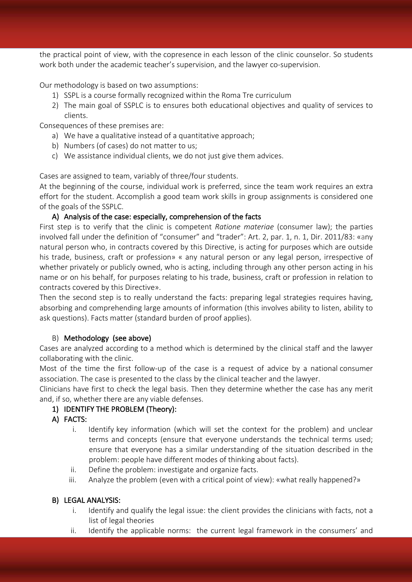the practical point of view, with the copresence in each lesson of the clinic counselor. So students work both under the academic teacher's supervision, and the lawyer co-supervision.

Our methodology is based on two assumptions:

- 1) SSPL is a course formally recognized within the Roma Tre curriculum
- 2) The main goal of SSPLC is to ensures both educational objectives and quality of services to clients.

Consequences of these premises are:

- a) We have a qualitative instead of a quantitative approach;
- b) Numbers (of cases) do not matter to us;
- c) We assistance individual clients, we do not just give them advices.

Cases are assigned to team, variably of three/four students.

At the beginning of the course, individual work is preferred, since the team work requires an extra effort for the student. Accomplish a good team work skills in group assignments is considered one of the goals of the SSPLC.

# A) Analysis of the case: especially, comprehension of the facts

First step is to verify that the clinic is competent *Ratione materiae* (consumer law); the parties involved fall under the definition of "consumer" and "trader": Art. 2, par. 1, n. 1, Dir. 2011/83: «any natural person who, in contracts covered by this Directive, is acting for purposes which are outside his trade, business, craft or profession» « any natural person or any legal person, irrespective of whether privately or publicly owned, who is acting, including through any other person acting in his name or on his behalf, for purposes relating to his trade, business, craft or profession in relation to contracts covered by this Directive».

Then the second step is to really understand the facts: preparing legal strategies requires having, absorbing and comprehending large amounts of information (this involves ability to listen, ability to ask questions). Facts matter (standard burden of proof applies).

### B) Methodology (see above)

Cases are analyzed according to a method which is determined by the clinical staff and the lawyer collaborating with the clinic.

Most of the time the first follow-up of the case is a request of advice by a national consumer association. The case is presented to the class by the clinical teacher and the lawyer.

Clinicians have first to check the legal basis. Then they determine whether the case has any merit and, if so, whether there are any viable defenses.

# 1) IDENTIFY THE PROBLEM (Theory):

- A) FACTS:
	- i. Identify key information (which will set the context for the problem) and unclear terms and concepts (ensure that everyone understands the technical terms used; ensure that everyone has a similar understanding of the situation described in the problem: people have different modes of thinking about facts).
	- ii. Define the problem: investigate and organize facts.
	- iii. Analyze the problem (even with a critical point of view): «what really happened?»

### B) LEGAL ANALYSIS:

- i. Identify and qualify the legal issue: the client provides the clinicians with facts, not a list of legal theories
- ii. Identify the applicable norms: the current legal framework in the consumers' and